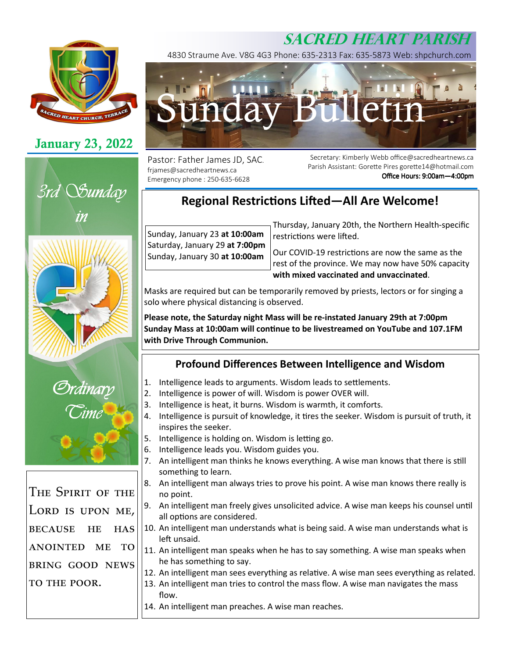# **SACRED HEART PARISH**



## **January 23, 2022**







The Spirit of the LORD IS UPON ME, BECAUSE HE  $E$  HAS ANOINTED ME TO  $\overline{\phantom{a}}$ BRING GOOD NEWS TO THE POOR.

4830 Straume Ave. V8G 4G3 Phone: 635-2313 Fax: 635-5873 Web: shpchurch.com



Pastor: Father James JD, SAC. frjames@sacredheartnews.ca Emergency phone : 250-635-6628

Secretary: Kimberly Webb office@sacredheartnews.ca Parish Assistant: Gorette Pires gorette14@hotmail.com Office Hours: 9:00am-4:00pm

## **Regional Restrictions Lifted—All Are Welcome!**

Sunday, January 23 **at 10:00am**  Saturday, January 29 **at 7:00pm** Sunday, January 30 **at 10:00am** Thursday, January 20th, the Northern Health-specific restrictions were lifted.

Our COVID-19 restrictions are now the same as the rest of the province. We may now have 50% capacity **with mixed vaccinated and unvaccinated**.

Masks are required but can be temporarily removed by priests, lectors or for singing a solo where physical distancing is observed.

**Please note, the Saturday night Mass will be re-instated January 29th at 7:00pm Sunday Mass at 10:00am will continue to be livestreamed on YouTube and 107.1FM with Drive Through Communion.** 

## **Profound Differences Between Intelligence and Wisdom**

- 1. Intelligence leads to arguments. Wisdom leads to settlements.
- 2. Intelligence is power of will. Wisdom is power OVER will.
- 3. Intelligence is heat, it burns. Wisdom is warmth, it comforts.
- 4. Intelligence is pursuit of knowledge, it tires the seeker. Wisdom is pursuit of truth, it inspires the seeker.
- 5. Intelligence is holding on. Wisdom is letting go.
- 6. Intelligence leads you. Wisdom guides you.
- 7. An intelligent man thinks he knows everything. A wise man knows that there is still something to learn.
- 8. An intelligent man always tries to prove his point. A wise man knows there really is no point.
- 9. An intelligent man freely gives unsolicited advice. A wise man keeps his counsel until all options are considered.
- 10. An intelligent man understands what is being said. A wise man understands what is left unsaid.
- 11. An intelligent man speaks when he has to say something. A wise man speaks when he has something to say.
- 12. An intelligent man sees everything as relative. A wise man sees everything as related.
- 13. An intelligent man tries to control the mass flow. A wise man navigates the mass flow.
- 14. An intelligent man preaches. A wise man reaches.